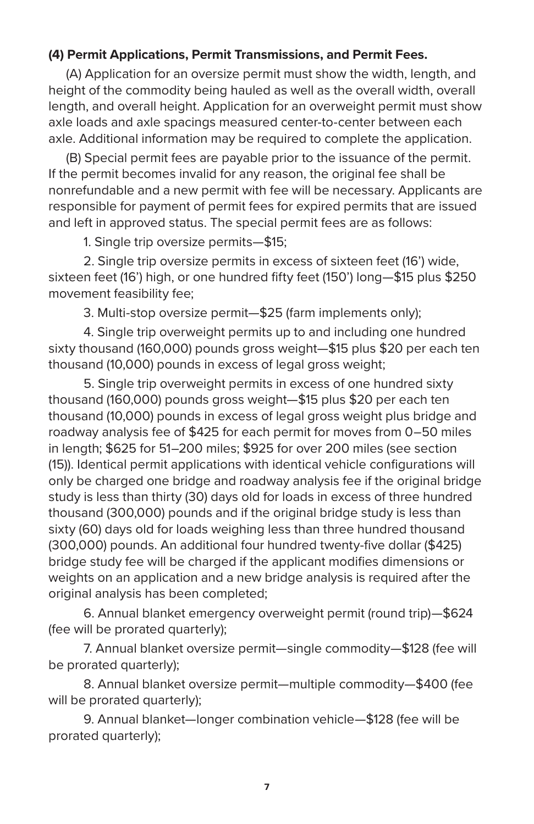## **(4) Permit Applications, Permit Transmissions, and Permit Fees.**

(A) Application for an oversize permit must show the width, length, and height of the commodity being hauled as well as the overall width, overall length, and overall height. Application for an overweight permit must show axle loads and axle spacings measured center-to-center between each axle. Additional information may be required to complete the application.

(B) Special permit fees are payable prior to the issuance of the permit. If the permit becomes invalid for any reason, the original fee shall be nonrefundable and a new permit with fee will be necessary. Applicants are responsible for payment of permit fees for expired permits that are issued and left in approved status. The special permit fees are as follows:

1. Single trip oversize permits—\$15;

2. Single trip oversize permits in excess of sixteen feet (16') wide, sixteen feet (16') high, or one hundred fifty feet (150') long—\$15 plus \$250 movement feasibility fee;

3. Multi-stop oversize permit—\$25 (farm implements only);

4. Single trip overweight permits up to and including one hundred sixty thousand (160,000) pounds gross weight—\$15 plus \$20 per each ten thousand (10,000) pounds in excess of legal gross weight;

5. Single trip overweight permits in excess of one hundred sixty thousand (160,000) pounds gross weight—\$15 plus \$20 per each ten thousand (10,000) pounds in excess of legal gross weight plus bridge and roadway analysis fee of \$425 for each permit for moves from 0–50 miles in length; \$625 for 51–200 miles; \$925 for over 200 miles (see section (15)). Identical permit applications with identical vehicle configurations will only be charged one bridge and roadway analysis fee if the original bridge study is less than thirty (30) days old for loads in excess of three hundred thousand (300,000) pounds and if the original bridge study is less than sixty (60) days old for loads weighing less than three hundred thousand (300,000) pounds. An additional four hundred twenty-five dollar (\$425) bridge study fee will be charged if the applicant modifies dimensions or weights on an application and a new bridge analysis is required after the original analysis has been completed;

6. Annual blanket emergency overweight permit (round trip)—\$624 (fee will be prorated quarterly);

7. Annual blanket oversize permit—single commodity—\$128 (fee will be prorated quarterly);

8. Annual blanket oversize permit—multiple commodity—\$400 (fee will be prorated quarterly);

9. Annual blanket—longer combination vehicle—\$128 (fee will be prorated quarterly);